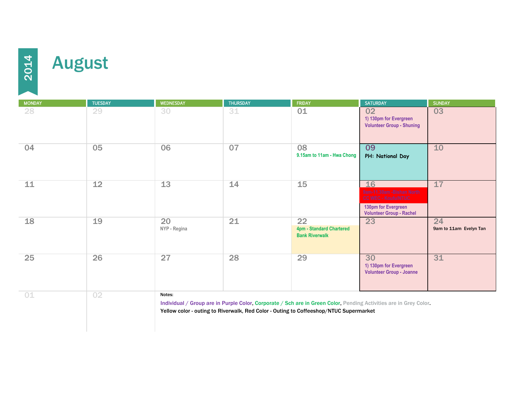

## **August**

MONDAY TUESDAY WEDNESDAY THURSDAY FRIDAY SATURDAY SUNDAY 28 29 30 31 01 02 03 **1) 130pm for Evergreen Volunteer Group - Shuning** 04 05 06 07 08 09 10 **9.15am to 11am - Hwa Chong PH: National Day** 11 12 13 14 15 16 17 18 19 20 21 22 23 24 **NYP - Regina 1989 1989 4pm - Standard Chartered Bank Riverwalk** 9am to 11am Evelyn Tan 25 26 27 28 29 30 31 **1) 130pm for Evergreen Volunteer Group - Joanne** 01 02 Individual / Group are in Purple Color, Corporate / Sch are in Green Color, Pending Activities are in Grey Color. Yellow color - outing to Riverwalk, Red Color - Outing to Coffeeshop/NTUC Supermarket Notes: **130pm for Evergreen Volunteer Group - Rachel**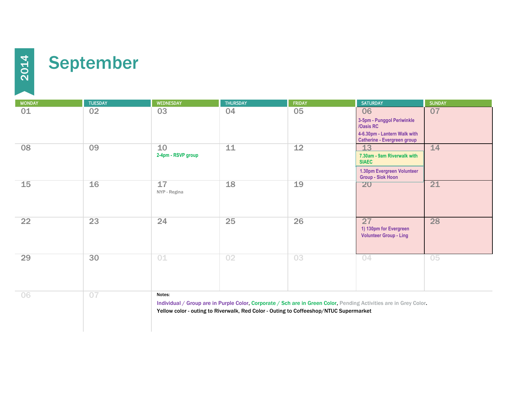

| <b>MONDAY</b> | <b>TUESDAY</b>  | <b>WEDNESDAY</b>                                                                                                                                                                                                     | <b>THURSDAY</b> | <b>FRIDAY</b> | <b>SATURDAY</b>                                                                                                     | <b>SUNDAY</b> |  |
|---------------|-----------------|----------------------------------------------------------------------------------------------------------------------------------------------------------------------------------------------------------------------|-----------------|---------------|---------------------------------------------------------------------------------------------------------------------|---------------|--|
| 01            | 02              | 03                                                                                                                                                                                                                   | 04              | 05            | 06<br>3-5pm - Punggol Periwinkle<br>/Oasis RC<br>4-6.30pm - Lantern Walk with<br><b>Catherine - Evergreen group</b> | 07            |  |
| 08            | 09              | 10<br>2-4pm - RSVP group                                                                                                                                                                                             | 11              | 12            | 13<br>7.30am - 9am Riverwalk with<br><b>SIAEC</b><br>1.30pm Evergreen Volunteer<br><b>Group - Siok Hoon</b>         | 14            |  |
| 15            | 16              | 17<br>NYP - Regina                                                                                                                                                                                                   | 18              | 19            | <b>20</b>                                                                                                           | 21            |  |
| 22            | $\overline{23}$ | 24                                                                                                                                                                                                                   | 25              | 26            | 27<br>1) 130pm for Evergreen<br><b>Volunteer Group - Ling</b>                                                       | 28            |  |
| 29            | 30              | 01                                                                                                                                                                                                                   | 02              | 03            | 04                                                                                                                  | 05            |  |
| 06            | 07              | Notes:<br>Individual / Group are in Purple Color, Corporate / Sch are in Green Color, Pending Activities are in Grey Color.<br>Yellow color - outing to Riverwalk, Red Color - Outing to Coffeeshop/NTUC Supermarket |                 |               |                                                                                                                     |               |  |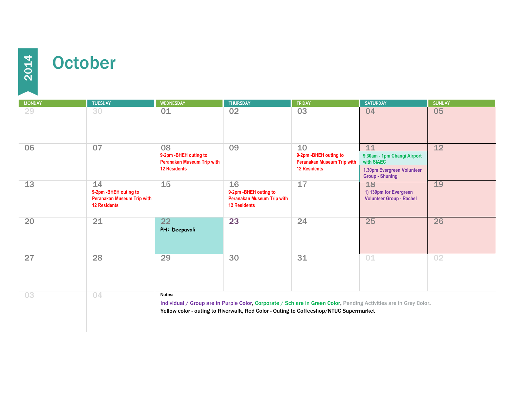## **October**

| <b>MONDAY</b> | <b>TUESDAY</b>                                                                           | <b>WEDNESDAY</b>                                                                                                                                                                                                     | <b>THURSDAY</b>                                                                          | <b>FRIDAY</b>                                                                            | <b>SATURDAY</b>                                                                                         | <b>SUNDAY</b> |  |
|---------------|------------------------------------------------------------------------------------------|----------------------------------------------------------------------------------------------------------------------------------------------------------------------------------------------------------------------|------------------------------------------------------------------------------------------|------------------------------------------------------------------------------------------|---------------------------------------------------------------------------------------------------------|---------------|--|
| 29            | 30                                                                                       | 01                                                                                                                                                                                                                   | 02                                                                                       | 03                                                                                       | 04                                                                                                      | 05            |  |
| 06            | 07                                                                                       | 08<br>9-2pm - BHEH outing to<br><b>Peranakan Museum Trip with</b><br><b>12 Residents</b>                                                                                                                             | 09                                                                                       | 10<br>9-2pm - BHEH outing to<br><b>Peranakan Museum Trip with</b><br><b>12 Residents</b> | 11<br>9.30am - 1pm Changi Airport<br>with SIAEC<br>1.30pm Evergreen Volunteer<br><b>Group - Shuning</b> | 12            |  |
| 13            | 14<br>9-2pm - BHEH outing to<br><b>Peranakan Museum Trip with</b><br><b>12 Residents</b> | 15                                                                                                                                                                                                                   | 16<br>9-2pm - BHEH outing to<br><b>Peranakan Museum Trip with</b><br><b>12 Residents</b> | 17                                                                                       | 18<br>1) 130pm for Evergreen<br><b>Volunteer Group - Rachel</b>                                         | 19            |  |
| 20            | 21                                                                                       | $\overline{22}$<br>PH: Deepavali                                                                                                                                                                                     | 23                                                                                       | 24                                                                                       | 25                                                                                                      | 26            |  |
| 27            | 28                                                                                       | 29                                                                                                                                                                                                                   | 30                                                                                       | 31                                                                                       | 01                                                                                                      | 02            |  |
| 03            | 04                                                                                       | Notes:<br>Individual / Group are in Purple Color, Corporate / Sch are in Green Color, Pending Activities are in Grey Color.<br>Yellow color - outing to Riverwalk, Red Color - Outing to Coffeeshop/NTUC Supermarket |                                                                                          |                                                                                          |                                                                                                         |               |  |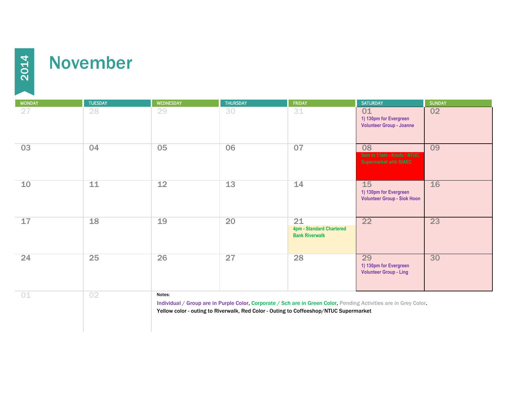

## November

MONDAY TUESDAY WEDNESDAY THURSDAY FRIDAY SATURDAY SUNDAY 27 28 29 30 31 01 02 **1) 130pm for Evergreen Volunteer Group - Joanne** 03 04 05 06 07 08 09 10 11 12 13 14 15 16 **1) 130pm for Evergreen Volunteer Group - Siok Hoon** 17 18 19 20 21 22 23 **4pm - Standard Chartered Bank Riverwalk** 24 25 26 27 28 29 30 **1) 130pm for Evergreen Volunteer Group - Ling** 01 02 Notes: Individual / Group are in Purple Color, Corporate / Sch are in Green Color, Pending Activities are in Grey Color. Yellow color - outing to Riverwalk, Red Color - Outing to Coffeeshop/NTUC Supermarket